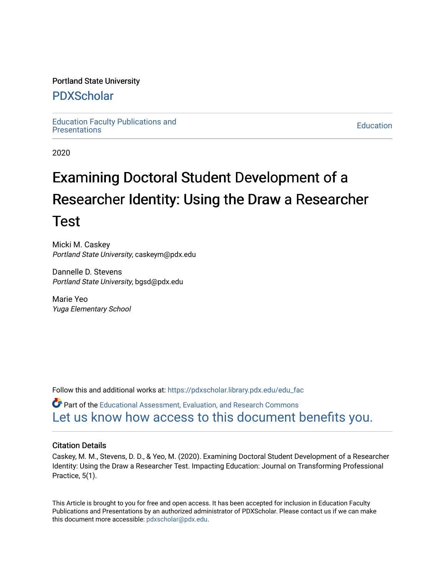# Portland State University

# [PDXScholar](https://pdxscholar.library.pdx.edu/)

[Education Faculty Publications and](https://pdxscholar.library.pdx.edu/edu_fac)  Education Faculty Publications and the contract of the contract of the Education Education [Presentations](https://pdxscholar.library.pdx.edu/edu_fac) of the contract of the contract of the contract of the contract of the contract of the contract of the contract of th

2020

# Examining Doctoral Student Development of a Researcher Identity: Using the Draw a Researcher Test

Micki M. Caskey Portland State University, caskeym@pdx.edu

Dannelle D. Stevens Portland State University, bgsd@pdx.edu

Marie Yeo Yuga Elementary School

Follow this and additional works at: [https://pdxscholar.library.pdx.edu/edu\\_fac](https://pdxscholar.library.pdx.edu/edu_fac?utm_source=pdxscholar.library.pdx.edu%2Fedu_fac%2F155&utm_medium=PDF&utm_campaign=PDFCoverPages)

Part of the [Educational Assessment, Evaluation, and Research Commons](http://network.bepress.com/hgg/discipline/796?utm_source=pdxscholar.library.pdx.edu%2Fedu_fac%2F155&utm_medium=PDF&utm_campaign=PDFCoverPages) [Let us know how access to this document benefits you.](http://library.pdx.edu/services/pdxscholar-services/pdxscholar-feedback/?ref=https://pdxscholar.library.pdx.edu/edu_fac/155) 

# Citation Details

Caskey, M. M., Stevens, D. D., & Yeo, M. (2020). Examining Doctoral Student Development of a Researcher Identity: Using the Draw a Researcher Test. Impacting Education: Journal on Transforming Professional Practice, 5(1).

This Article is brought to you for free and open access. It has been accepted for inclusion in Education Faculty Publications and Presentations by an authorized administrator of PDXScholar. Please contact us if we can make this document more accessible: [pdxscholar@pdx.edu.](mailto:pdxscholar@pdx.edu)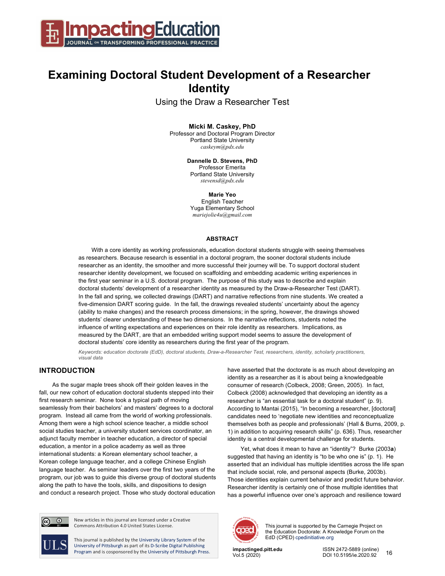

# **Examining Doctoral Student Development of a Researcher Identity**

Using the Draw a Researcher Test

#### **Micki M. Caskey, PhD**

Professor and Doctoral Program Director Portland State University *caskeym@pdx.edu*

> **Dannelle D. Stevens, PhD** Professor Emerita Portland State University *stevensd@pdx.edu*

> > **Marie Yeo**

English Teacher Yuga Elementary School *mariejolie4u@gmail.com*

#### **ABSTRACT**

With a core identity as working professionals, education doctoral students struggle with seeing themselves as researchers. Because research is essential in a doctoral program, the sooner doctoral students include researcher as an identity, the smoother and more successful their journey will be. To support doctoral student researcher identity development, we focused on scaffolding and embedding academic writing experiences in the first year seminar in a U.S. doctoral program. The purpose of this study was to describe and explain doctoral students' development of a researcher identity as measured by the Draw-a-Researcher Test (DART). In the fall and spring, we collected drawings (DART) and narrative reflections from nine students. We created a five-dimension DART scoring guide. In the fall, the drawings revealed students' uncertainty about the agency (ability to make changes) and the research process dimensions; in the spring, however, the drawings showed students' clearer understanding of these two dimensions. In the narrative reflections, students noted the influence of writing expectations and experiences on their role identity as researchers. Implications, as measured by the DART, are that an embedded writing support model seems to assure the development of doctoral students' core identity as researchers during the first year of the program.

*Keywords: education doctorate (EdD), doctoral students, Draw-a-Researcher Test, researchers, identity, scholarly practitioners, visual data* 

# **INTRODUCTION**

As the sugar maple trees shook off their golden leaves in the fall, our new cohort of education doctoral students stepped into their first research seminar. None took a typical path of moving seamlessly from their bachelors' and masters' degrees to a doctoral program. Instead all came from the world of working professionals. Among them were a high school science teacher, a middle school social studies teacher, a university student services coordinator, an adjunct faculty member in teacher education, a director of special education, a mentor in a police academy as well as three international students: a Korean elementary school teacher, a Korean college language teacher, and a college Chinese English language teacher. As seminar leaders over the first two years of the program, our job was to guide this diverse group of doctoral students along the path to have the tools, skills, and dispositions to design and conduct a research project. Those who study doctoral education

have asserted that the doctorate is as much about developing an identity as a researcher as it is about being a knowledgeable consumer of research (Colbeck, 2008; Green, 2005). In fact, Colbeck (2008) acknowledged that developing an identity as a researcher is "an essential task for a doctoral student" (p. 9). According to Mantai (2015), "In becoming a researcher, [doctoral] candidates need to 'negotiate new identities and reconceptualize themselves both as people and professionals' (Hall & Burns, 2009, p. 1) in addition to acquiring research skills" (p. 636). Thus, researcher identity is a central developmental challenge for students.

Yet, what does it mean to have an "identity"? Burke (2003**a**) suggested that having an identity is "to be who one is" (p. 1). He asserted that an individual has multiple identities across the life span that include social, role, and personal aspects (Burke, 2003b). Those identities explain current behavior and predict future behavior. Researcher identity is certainly one of those multiple identities that has a powerful influence over one's approach and resilience toward



This journal is supported by the Carnegie Project on the Education Doctorate: A Knowledge Forum on the EdD (CPED) cpedinitiative.org

**impactinged.pitt.edu** ISSN 2472-5889 (online) DOI 10.5195/ie.2020.92 16



New articles in this journal are licensed under a Creative Commons Attribution 4.0 United States License.

This journal is published by the University Library System of the University of Pittsburgh as part of its D-Scribe Digital Publishing Program and is cosponsored by the University of Pittsburgh Press.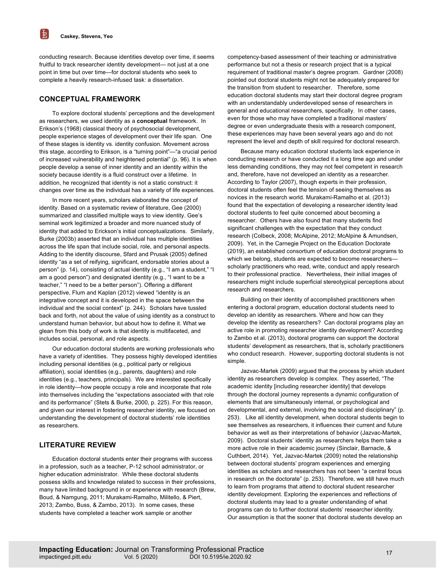电

conducting research. Because identities develop over time, it seems fruitful to track researcher identity development— not just at a one point in time but over time—for doctoral students who seek to complete a heavily research-infused task: a dissertation.

# **CONCEPTUAL FRAMEWORK**

To explore doctoral students' perceptions and the development as researchers, we used identity as a **conceptual** framework. In Erikson's (1968) classical theory of psychosocial development, people experience stages of development over their life span. One of these stages is identity vs. identity confusion. Movement across this stage, according to Erikson, is a "turning point"—"a crucial period of increased vulnerability and heightened potential" (p. 96). It is when people develop a sense of inner identity and an identity within the society because identity is a fluid construct over a lifetime. In addition, he recognized that identity is not a static construct: it changes over time as the individual has a variety of life experiences.

In more recent years, scholars elaborated the concept of identity. Based on a systematic review of literature, Gee (2000) summarized and classified multiple ways to view identity. Gee's seminal work legitimized a broader and more nuanced study of identity that added to Erickson's initial conceptualizations. Similarly, Burke (2003b) asserted that an individual has multiple identities across the life span that include social, role, and personal aspects. Adding to the identity discourse, Sfard and Prusak (2005) defined identity "as a set of reifying, significant, endorsable stories about a person" (p. 14), consisting of actual identity (e.g., "I am a student," "I am a good person") and designated identity (e.g., "I want to be a teacher," "I need to be a better person"). Offering a different perspective, Flum and Kaplan (2012) viewed "identity is an integrative concept and it is developed in the space between the individual and the social context" (p. 244). Scholars have tussled back and forth, not about the value of using identity as a construct to understand human behavior, but about how to define it. What we glean from this body of work is that identity is multifaceted, and includes social, personal, and role aspects.

Our education doctoral students are working professionals who have a variety of identities. They possess highly developed identities including personal identities (e.g., political party or religious affiliation), social identities (e.g., parents, daughters) and role identities (e.g., teachers, principals). We are interested specifically in role identity—how people occupy a role and incorporate that role into themselves including the "expectations associated with that role and its performance" (Stets & Burke, 2000, p. 225). For this reason, and given our interest in fostering researcher identity, we focused on understanding the development of doctoral students' role identities as researchers.

# **LITERATURE REVIEW**

Education doctoral students enter their programs with success in a profession, such as a teacher, P-12 school administrator, or higher education administrator. While these doctoral students possess skills and knowledge related to success in their professions, many have limited background in or experience with research (Brew, Boud, & Namgung, 2011; Murakami-Ramalho, Militello, & Piert, 2013; Zambo, Buss, & Zambo, 2013). In some cases, these students have completed a teacher work sample or another

competency-based assessment of their teaching or administrative performance but not a thesis or research project that is a typical requirement of traditional master's degree program. Gardner (2008) pointed out doctoral students might not be adequately prepared for the transition from student to researcher. Therefore, some education doctoral students may start their doctoral degree program with an understandably underdeveloped sense of researchers in general and educational researchers, specifically. In other cases, even for those who may have completed a traditional masters' degree or even undergraduate thesis with a research component, these experiences may have been several years ago and do not represent the level and depth of skill required for doctoral research.

Because many education doctoral students lack experience in conducting research or have conducted it a long time ago and under less demanding conditions, they may not feel competent in research and, therefore, have not developed an identity as a researcher. According to Taylor (2007), though experts in their profession, doctoral students often feel the tension of seeing themselves as novices in the research world. Murakami-Ramalho et al. (2013) found that the expectation of developing a researcher identity lead doctoral students to feel quite concerned about becoming a researcher. Others have also found that many students find significant challenges with the expectation that they conduct research (Colbeck, 2008; McAlpine, 2012; McAlpine & Amundsen, 2009). Yet, in the Carnegie Project on the Education Doctorate (2019), an established consortium of education doctoral programs to which we belong, students are expected to become researchers scholarly practitioners who read, write, conduct and apply research to their professional practice. Nevertheless, their initial images of researchers might include superficial stereotypical perceptions about research and researchers.

Building on their identity of accomplished practitioners when entering a doctoral program, education doctoral students need to develop an identity as researchers. Where and how can they develop the identity as researchers? Can doctoral programs play an active role in promoting researcher identity development? According to Zambo et al. (2013), doctoral programs can support the doctoral students' development as researchers, that is, scholarly practitioners who conduct research. However, supporting doctoral students is not simple.

Jazvac-Martek (2009) argued that the process by which student identity as researchers develop is complex. They asserted, "The academic identity [including researcher identity] that develops through the doctoral journey represents a dynamic configuration of elements that are simultaneously internal, or psychological and developmental, and external, involving the social and disciplinary" (p. 253). Like all identity development, when doctoral students begin to see themselves as researchers, it influences their current and future behavior as well as their interpretations of behavior (Jazvac-Martek, 2009). Doctoral students' identity as researchers helps them take a more active role in their academic journey (Sinclair, Barnacle, & Cuthbert, 2014). Yet, Jazvac-Martek (2009) noted the relationship between doctoral students' program experiences and emerging identities as scholars and researchers has not been "a central focus in research on the doctorate" (p. 253). Therefore, we still have much to learn from programs that attend to doctoral student researcher identity development. Exploring the experiences and reflections of doctoral students may lead to a greater understanding of what programs can do to further doctoral students' researcher identity. Our assumption is that the sooner that doctoral students develop an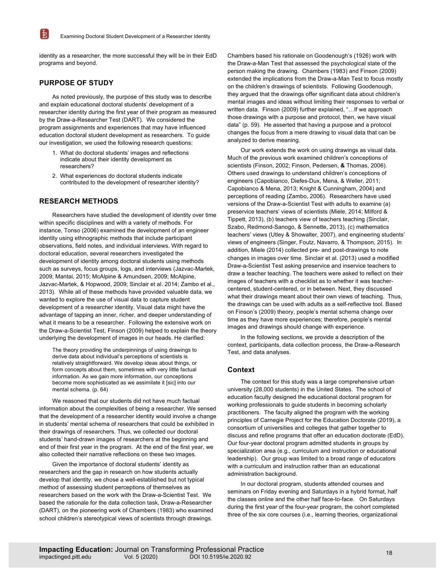identity as a researcher, the more successful they will be in their EdD programs and beyond.

# **PURPOSE OF STUDY**

 $\mathbb{H}$ 

As noted previously, the purpose of this study was to describe and explain educational doctoral students' development of a researcher identity during the first year of their program as measured by the Draw-a-Researcher Test (DART). We considered the program assignments and experiences that may have influenced education doctoral student development as researchers. To guide our investigation, we used the following research questions:

- 1. What do doctoral students' images and reflections indicate about their identity development as researchers?
- 2. What experiences do doctoral students indicate contributed to the development of researcher identity?

# **RESEARCH METHODS**

Researchers have studied the development of identity over time within specific disciplines and with a variety of methods. For instance, Tonso (2006) examined the development of an engineer identity using ethnographic methods that include participant observations, field notes, and individual interviews. With regard to doctoral education, several researchers investigated the development of identity among doctoral students using methods such as surveys, focus groups, logs, and interviews (Jazvac-Martek, 2009; Mantai, 2015; McAlpine & Amundsen, 2009; McAlpine, Jazvac-Martek, & Hopwood, 2009; Sinclair et al. 2014; Zambo et al., 2013). While all of these methods have provided valuable data, we wanted to explore the use of visual data to capture student development of a researcher identity. Visual data might have the advantage of tapping an inner, richer, and deeper understanding of what it means to be a researcher. Following the extensive work on the Draw-a-Scientist Test, Finson (2009) helped to explain the theory underlying the development of images in our heads. He clarified:

The theory providing the underpinnings of using drawings to derive data about individual's perceptions of scientists is relatively straightforward. We develop ideas about things, or form concepts about them, sometimes with very little factual information. As we gain more information, our conceptions become more sophisticated as we assimilate it [sic] into our mental schema. (p. 64)

We reasoned that our students did not have much factual information about the complexities of being a researcher. We sensed that the development of a researcher identity would involve a change in students' mental schema of researchers that could be exhibited in their drawings of researchers. Thus, we collected our doctoral students' hand-drawn images of researchers at the beginning and end of their first year in the program. At the end of the first year, we also collected their narrative reflections on these two images.

Given the importance of doctoral students' identity as researchers and the gap in research on how students actually develop that identity, we chose a well-established but not typical method of assessing student perceptions of themselves as researchers based on the work with the Draw-a-Scientist Test. We based the rationale for the data collection task, Draw-a-Researcher (DART), on the pioneering work of Chambers (1983) who examined school children's stereotypical views of scientists through drawings.

Chambers based his rationale on Goodenough's (1926) work with the Draw-a-Man Test that assessed the psychological state of the person making the drawing. Chambers (1983) and Finson (2009) extended the implications from the Draw-a-Man Test to focus mostly on the children's drawings of scientists. Following Goodenough, they argued that the drawings offer significant data about children's mental images and ideas without limiting their responses to verbal or written data. Finson (2009) further explained, "... If we approach those drawings with a purpose and protocol, then, we have visual data" (p. 59). He asserted that having a purpose and a protocol changes the focus from a mere drawing to visual data that can be analyzed to derive meaning.

Our work extends the work on using drawings as visual data. Much of the previous work examined children's conceptions of scientists (Finson, 2002; Finson, Pedersen, **&** Thomas, 2006). Others used drawings to understand children's conceptions of engineers (Capobianco, Diefes-Dux, Mena, & Weller, 2011; Capobianco & Mena, 2013; Knight & Cunningham, 2004) and perceptions of reading (Zambo, 2006). Researchers have used versions of the Draw-a-Scientist Test with adults to examine (a) preservice teachers' views of scientists (Miele, 2014; Milford & Tippett, 2013), (b) teachers view of teachers teaching (Sinclair, Szabo, Redmond-Sanogo, & Sennette, 2013), (c) mathematics teachers' views (Utley & Showalter, 2007), and engineering students' views of engineers (Singer, Foutz, Navarro, & Thompson, 2015). In addition, Miele (2014) collected pre- and post-drawings to note changes in images over time. Sinclair et al. (2013) used a modified Draw-a-Scientist Test asking preservice and inservice teachers to draw a teacher teaching. The teachers were asked to reflect on their images of teachers with a checklist as to whether it was teachercentered, student-centered, or in between. Next, they discussed what their drawings meant about their own views of teaching. Thus, the drawings can be used with adults as a self-reflective tool. Based on Finson's (2009) theory, people's mental schema change over time as they have more experiences; therefore, people's mental images and drawings should change with experience.

In the following sections, we provide a description of the context, participants, data collection process, the Draw-a-Research Test, and data analyses.

#### **Context**

The context for this study was a large comprehensive urban university (28,000 students) in the United States. The school of education faculty designed the educational doctoral program for working professionals to guide students in becoming scholarly practitioners. The faculty aligned the program with the working principles of Carnegie Project for the Education Doctorate (2019), a consortium of universities and colleges that gather together to discuss and refine programs that offer an education doctorate (EdD). Our four-year doctoral program admitted students in groups by specialization area (e.g., curriculum and instruction or educational leadership). Our group was limited to a broad range of educators with a curriculum and instruction rather than an educational administration background.

In our doctoral program, students attended courses and seminars on Friday evening and Saturdays in a hybrid format, half the classes online and the other half face-to-face. On Saturdays during the first year of the four-year program, the cohort completed three of the six core courses (i.e., learning theories, organizational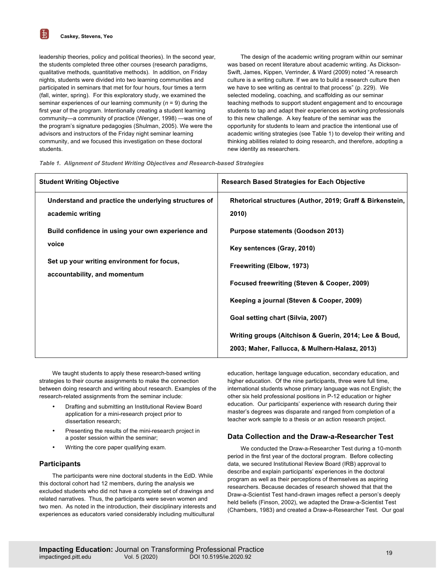围

leadership theories, policy and political theories). In the second year, the students completed three other courses (research paradigms, qualitative methods, quantitative methods). In addition, on Friday nights, students were divided into two learning communities and participated in seminars that met for four hours, four times a term (fall, winter, spring). For this exploratory study, we examined the seminar experiences of our learning community (*n* = 9) during the first year of the program. Intentionally creating a student learning community—a community of practice (Wenger, 1998) —was one of the program's signature pedagogies (Shulman, 2005). We were the advisors and instructors of the Friday night seminar learning community, and we focused this investigation on these doctoral students.

The design of the academic writing program within our seminar was based on recent literature about academic writing. As Dickson-Swift, James, Kippen, Verrinder, & Ward (2009) noted "A research culture is a writing culture. If we are to build a research culture then we have to see writing as central to that process" (p. 229). We selected modeling, coaching, and scaffolding as our seminar teaching methods to support student engagement and to encourage students to tap and adapt their experiences as working professionals to this new challenge. A key feature of the seminar was the opportunity for students to learn and practice the intentional use of academic writing strategies (see Table 1) to develop their writing and thinking abilities related to doing research, and therefore, adopting a new identity as researchers.

|  | Table 1. Alignment of Student Writing Objectives and Research-based Strategies |  |  |  |  |  |
|--|--------------------------------------------------------------------------------|--|--|--|--|--|
|--|--------------------------------------------------------------------------------|--|--|--|--|--|

| <b>Student Writing Objective</b>                                                                                                                                                                                     | <b>Research Based Strategies for Each Objective</b>                                                                                                                                                                                                                                                 |  |  |
|----------------------------------------------------------------------------------------------------------------------------------------------------------------------------------------------------------------------|-----------------------------------------------------------------------------------------------------------------------------------------------------------------------------------------------------------------------------------------------------------------------------------------------------|--|--|
| Understand and practice the underlying structures of<br>academic writing<br>Build confidence in using your own experience and<br>voice<br>Set up your writing environment for focus,<br>accountability, and momentum | Rhetorical structures (Author, 2019; Graff & Birkenstein,<br>2010)<br>Purpose statements (Goodson 2013)<br>Key sentences (Gray, 2010)<br>Freewriting (Elbow, 1973)<br>Focused freewriting (Steven & Cooper, 2009)<br>Keeping a journal (Steven & Cooper, 2009)<br>Goal setting chart (Silvia, 2007) |  |  |
|                                                                                                                                                                                                                      | Writing groups (Aitchison & Guerin, 2014; Lee & Boud,<br>2003; Maher, Fallucca, & Mulhern-Halasz, 2013)                                                                                                                                                                                             |  |  |

We taught students to apply these research-based writing strategies to their course assignments to make the connection between doing research and writing about research. Examples of the research-related assignments from the seminar include:

- Drafting and submitting an Institutional Review Board application for a mini-research project prior to dissertation research;
- Presenting the results of the mini-research project in a poster session within the seminar;
- Writing the core paper qualifying exam.

# **Participants**

The participants were nine doctoral students in the EdD. While this doctoral cohort had 12 members, during the analysis we excluded students who did not have a complete set of drawings and related narratives. Thus, the participants were seven women and two men. As noted in the introduction, their disciplinary interests and experiences as educators varied considerably including multicultural

education, heritage language education, secondary education, and higher education. Of the nine participants, three were full time, international students whose primary language was not English; the other six held professional positions in P-12 education or higher education. Our participants' experience with research during their master's degrees was disparate and ranged from completion of a teacher work sample to a thesis or an action research project.

# **Data Collection and the Draw-a-Researcher Test**

We conducted the Draw-a-Researcher Test during a 10-month period in the first year of the doctoral program. Before collecting data, we secured Institutional Review Board (IRB) approval to describe and explain participants' experiences in the doctoral program as well as their perceptions of themselves as aspiring researchers. Because decades of research showed that that the Draw-a-Scientist Test hand-drawn images reflect a person's deeply held beliefs (Finson, 2002), we adapted the Draw-a-Scientist Test (Chambers, 1983) and created a Draw-a-Researcher Test. Our goal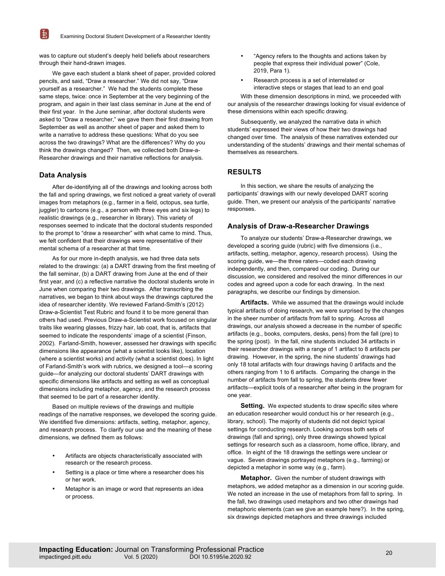was to capture out student's deeply held beliefs about researchers through their hand-drawn images.

We gave each student a blank sheet of paper, provided colored pencils, and said, "Draw a researcher." We did not say, "Draw yourself as a researcher." We had the students complete these same steps, twice: once in September at the very beginning of the program, and again in their last class seminar in June at the end of their first year. In the June seminar, after doctoral students were asked to "Draw a researcher," we gave them their first drawing from September as well as another sheet of paper and asked them to write a narrative to address these questions: What do you see across the two drawings? What are the differences? Why do you think the drawings changed? Then, we collected both Draw-a-Researcher drawings and their narrative reflections for analysis.

# **Data Analysis**

 $\mathbb{H}$ 

After de-identifying all of the drawings and looking across both the fall and spring drawings, we first noticed a great variety of overall images from metaphors (e.g., farmer in a field, octopus, sea turtle, juggler) to cartoons (e.g., a person with three eyes and six legs) to realistic drawings (e.g., researcher in library). This variety of responses seemed to indicate that the doctoral students responded to the prompt to "draw a researcher" with what came to mind. Thus, we felt confident that their drawings were representative of their mental schema of a researcher at that time.

As for our more in-depth analysis, we had three data sets related to the drawings: (a) a DART drawing from the first meeting of the fall seminar, (b) a DART drawing from June at the end of their first year, and (c) a reflective narrative the doctoral students wrote in June when comparing their two drawings. After transcribing the narratives, we began to think about ways the drawings captured the idea of researcher identity. We reviewed Farland-Smith's (2012) Draw-a-Scientist Test Rubric and found it to be more general than others had used. Previous Draw-a-Scientist work focused on singular traits like wearing glasses, frizzy hair, lab coat, that is, artifacts that seemed to indicate the respondents' image of a scientist (Finson, 2002). Farland-Smith, however, assessed her drawings with specific dimensions like appearance (what a scientist looks like), location (where a scientist works) and activity (what a scientist does). In light of Farland-Smith's work with rubrics, we designed a tool—a scoring guide—for analyzing our doctoral students' DART drawings with specific dimensions like artifacts and setting as well as conceptual dimensions including metaphor, agency, and the research process that seemed to be part of a researcher identity.

Based on multiple reviews of the drawings and multiple readings of the narrative responses, we developed the scoring guide. We identified five dimensions: artifacts, setting, metaphor, agency, and research process. To clarify our use and the meaning of these dimensions, we defined them as follows:

- Artifacts are objects characteristically associated with research or the research process.
- Setting is a place or time where a researcher does his or her work.
- Metaphor is an image or word that represents an idea or process.
- "Agency refers to the thoughts and actions taken by people that express their individual power" (Cole, 2019, Para 1).
- Research process is a set of interrelated or interactive steps or stages that lead to an end goal

With these dimension descriptions in mind, we proceeded with our analysis of the researcher drawings looking for visual evidence of these dimensions within each specific drawing.

Subsequently, we analyzed the narrative data in which students' expressed their views of how their two drawings had changed over time. The analysis of these narratives extended our understanding of the students' drawings and their mental schemas of themselves as researchers.

# **RESULTS**

In this section, we share the results of analyzing the participants' drawings with our newly developed DART scoring guide. Then, we present our analysis of the participants' narrative responses.

#### **Analysis of Draw-a-Researcher Drawings**

To analyze our students' Draw-a-Researcher drawings, we developed a scoring guide (rubric) with five dimensions (i.e., artifacts, setting, metaphor, agency, research process). Using the scoring guide, we—the three raters—coded each drawing independently, and then, compared our coding. During our discussion, we considered and resolved the minor differences in our codes and agreed upon a code for each drawing. In the next paragraphs, we describe our findings by dimension.

**Artifacts.** While we assumed that the drawings would include typical artifacts of doing research, we were surprised by the changes in the sheer number of artifacts from fall to spring. Across all drawings, our analysis showed a decrease in the number of specific artifacts (e.g., books, computers, desks, pens) from the fall (pre) to the spring (post). In the fall, nine students included 34 artifacts in their researcher drawings with a range of 1 artifact to 8 artifacts per drawing. However, in the spring, the nine students' drawings had only 18 total artifacts with four drawings having 0 artifacts and the others ranging from 1 to 6 artifacts. Comparing the change in the number of artifacts from fall to spring, the students drew fewer artifacts—explicit tools of a researcher after being in the program for one year.

**Setting.** We expected students to draw specific sites where an education researcher would conduct his or her research (e.g., library, school). The majority of students did not depict typical settings for conducting research. Looking across both sets of drawings (fall and spring), only three drawings showed typical settings for research such as a classroom, home office, library, and office. In eight of the 18 drawings the settings were unclear or vague. Seven drawings portrayed metaphors (e.g., farming) or depicted a metaphor in some way (e.g., farm).

**Metaphor.** Given the number of student drawings with metaphors, we added metaphor as a dimension in our scoring guide. We noted an increase in the use of metaphors from fall to spring. In the fall, two drawings used metaphors and two other drawings had metaphoric elements (can we give an example here?). In the spring, six drawings depicted metaphors and three drawings included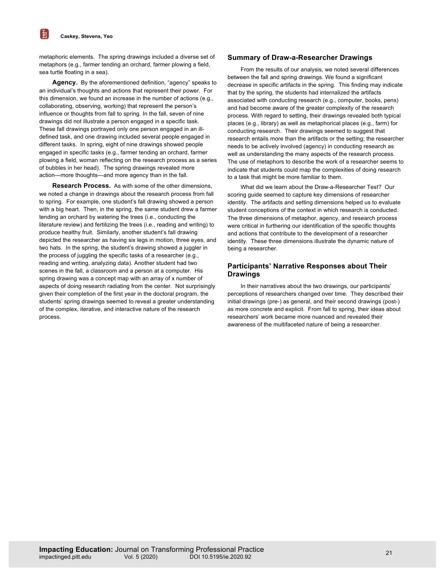$\mathbb{H}$ 

metaphoric elements. The spring drawings included a diverse set of metaphors (e.g., farmer tending an orchard, farmer plowing a field, sea turtle floating in a sea).

**Agency.** By the aforementioned definition, "agency" speaks to an individual's thoughts and actions that represent their power. For this dimension, we found an increase in the number of actions (e.g., collaborating, observing, working) that represent the person's influence or thoughts from fall to spring. In the fall, seven of nine drawings did not illustrate a person engaged in a specific task. These fall drawings portrayed only one person engaged in an illdefined task, and one drawing included several people engaged in different tasks. In spring, eight of nine drawings showed people engaged in specific tasks (e.g., farmer tending an orchard, farmer plowing a field, woman reflecting on the research process as a series of bubbles in her head). The spring drawings revealed more action—more thoughts—and more agency than in the fall.

**Research Process.** As with some of the other dimensions, we noted a change in drawings about the research process from fall to spring. For example, one student's fall drawing showed a person with a big heart. Then, in the spring, the same student drew a farmer tending an orchard by watering the trees (i.e., conducting the literature review) and fertilizing the trees (i.e., reading and writing) to produce healthy fruit. Similarly, another student's fall drawing depicted the researcher as having six legs in motion, three eyes, and two hats. In the spring, the student's drawing showed a juggler in the process of juggling the specific tasks of a researcher (e.g., reading and writing, analyzing data). Another student had two scenes in the fall, a classroom and a person at a computer. His spring drawing was a concept map with an array of x number of aspects of doing research radiating from the center. Not surprisingly given their completion of the first year in the doctoral program, the students' spring drawings seemed to reveal a greater understanding of the complex, iterative, and interactive nature of the research process.

#### **Summary of Draw-a-Researcher Drawings**

From the results of our analysis, we noted several differences between the fall and spring drawings. We found a significant decrease in specific artifacts in the spring. This finding may indicate that by the spring, the students had internalized the artifacts associated with conducting research (e.g., computer, books, pens) and had become aware of the greater complexity of the research process. With regard to setting, their drawings revealed both typical places (e.g., library) as well as metaphorical places (e.g., farm) for conducting research. Their drawings seemed to suggest that research entails more than the artifacts or the setting; the researcher needs to be actively involved (agency) in conducting research as well as understanding the many aspects of the research process. The use of metaphors to describe the work of a researcher seems to indicate that students could map the complexities of doing research to a task that might be more familiar to them.

What did we learn about the Draw-a-Researcher Test? Our scoring guide seemed to capture key dimensions of researcher identity. The artifacts and setting dimensions helped us to evaluate student conceptions of the context in which research is conducted. The three dimensions of metaphor, agency, and research process were critical in furthering our identification of the specific thoughts and actions that contribute to the development of a researcher identity. These three dimensions illustrate the dynamic nature of being a researcher.

# **Participants' Narrative Responses about Their Drawings**

In their narratives about the two drawings, our participants' perceptions of researchers changed over time. They described their initial drawings (pre-) as general, and their second drawings (post-) as more concrete and explicit. From fall to spring, their ideas about researchers' work became more nuanced and revealed their awareness of the multifaceted nature of being a researcher.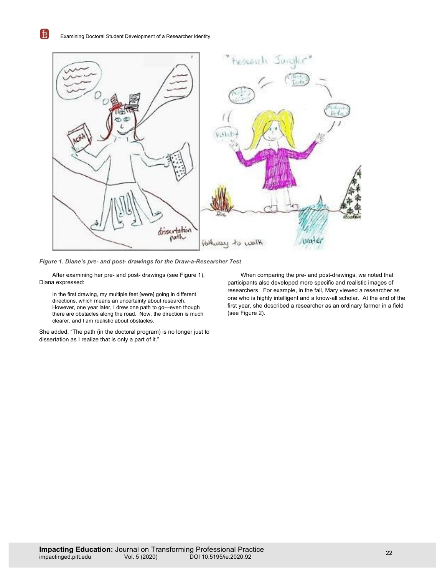围



*Figure 1. Diane's pre- and post- drawings for the Draw-a-Researcher Test*

After examining her pre- and post- drawings (see Figure 1), Diana expressed:

In the first drawing, my multiple feet [were] going in different directions, which means an uncertainty about research. However, one year later, I drew one path to go—even though there are obstacles along the road. Now, the direction is much clearer, and I am realistic about obstacles.

She added, "The path (in the doctoral program) is no longer just to dissertation as I realize that is only a part of it."

When comparing the pre- and post-drawings, we noted that participants also developed more specific and realistic images of researchers. For example, in the fall, Mary viewed a researcher as one who is highly intelligent and a know-all scholar. At the end of the first year, she described a researcher as an ordinary farmer in a field (see Figure 2).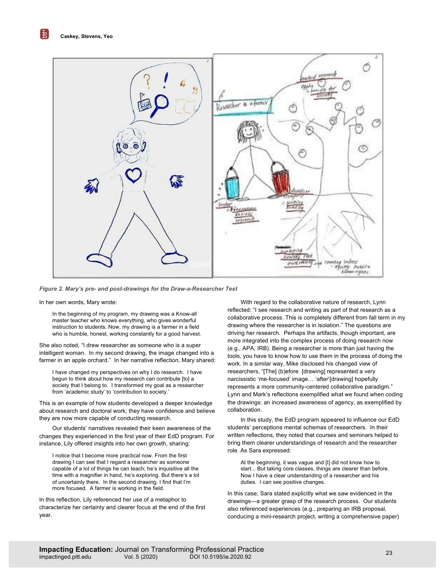[転]



*Figure 2. Mary's pre- and post-drawings for the Draw-a-Researcher Test*

In her own words, Mary wrote:

In the beginning of my program, my drawing was a Know-all master teacher who knows everything, who gives wonderful instruction to students. Now, my drawing is a farmer in a field who is humble, honest, working constantly for a good harvest.

She also noted, "I drew researcher as someone who is a super intelligent woman. In my second drawing, the image changed into a farmer in an apple orchard." In her narrative reflection, Mary shared:

I have changed my perspectives on why I do research. I have begun to think about how my research can contribute [to] a society that I belong to. I transformed my goal as a researcher from 'academic study' to 'contribution to society.'

This is an example of how students developed a deeper knowledge about research and doctoral work; they have confidence and believe they are now more capable of conducting research.

Our students' narratives revealed their keen awareness of the changes they experienced in the first year of their EdD program. For instance, Lily offered insights into her own growth, sharing:

I notice that I become more practical now. From the first drawing I can see that I regard a researcher as someone capable of a lot of things he can teach; he's inquisitive all the time with a magnifier in hand, he's exploring. But there's a lot of uncertainly there. In the second drawing. I find that I'm more focused. A farmer is working in the field.

In this reflection, Lily referenced her use of a metaphor to characterize her certainty and clearer focus at the end of the first year.

With regard to the collaborative nature of research, Lynn reflected: "I see research and writing as part of that research as a collaborative process. This is completely different from fall term in my drawing where the researcher is in isolation." The questions are driving her research. Perhaps the artifacts, though important, are more integrated into the complex process of doing research now (e.g., APA, IRB). Being a researcher is more than just having the tools, you have to know how to use them in the process of doing the work. In a similar way, Mike disclosed his changed view of researchers, "[The] (b)efore [drawing] represented a very narcissistic 'me-focused' image… 'after'[drawing] hopefully represents a more community-centered collaborative paradigm." Lynn and Mark's reflections exemplified what we found when coding the drawings: an increased awareness of agency, as exemplified by collaboration.

In this study, the EdD program appeared to influence our EdD students' perceptions mental schemas of researchers. In their written reflections, they noted that courses and seminars helped to bring them clearer understandings of research and the researcher role. As Sara expressed:

At the beginning, it was vague and [I] did not know how to start... But taking core classes, things are clearer than before. Now I have a clear understanding of a researcher and his duties. I can see positive changes.

In this case, Sara stated explicitly what we saw evidenced in the drawings—a greater grasp of the research process. Our students also referenced experiences (e.g., preparing an IRB proposal, conducing a mini-research project, writing a comprehensive paper)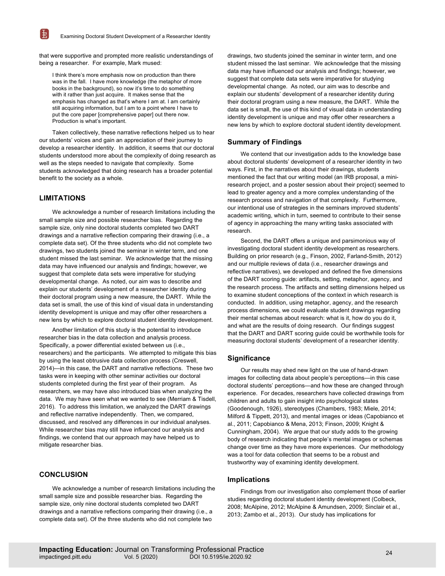that were supportive and prompted more realistic understandings of being a researcher. For example, Mark mused:

I think there's more emphasis now on production than there was in the fall. I have more knowledge (the metaphor of more books in the background), so now it's time to do something with it rather than just acquire. It makes sense that the emphasis has changed as that's where I am at. I am certainly still acquiring information, but I am to a point where I have to put the core paper [comprehensive paper] out there now. Production is what's important.

Taken collectively, these narrative reflections helped us to hear our students' voices and gain an appreciation of their journey to develop a researcher identity. In addition, it seems that our doctoral students understood more about the complexity of doing research as well as the steps needed to navigate that complexity. Some students acknowledged that doing research has a broader potential benefit to the society as a whole.

## **LIMITATIONS**

电

We acknowledge a number of research limitations including the small sample size and possible researcher bias. Regarding the sample size, only nine doctoral students completed two DART drawings and a narrative reflection comparing their drawing (i.e., a complete data set). Of the three students who did not complete two drawings, two students joined the seminar in winter term, and one student missed the last seminar. We acknowledge that the missing data may have influenced our analysis and findings; however, we suggest that complete data sets were imperative for studying developmental change. As noted, our aim was to describe and explain our students' development of a researcher identity during their doctoral program using a new measure, the DART. While the data set is small, the use of this kind of visual data in understanding identity development is unique and may offer other researchers a new lens by which to explore doctoral student identity development.

Another limitation of this study is the potential to introduce researcher bias in the data collection and analysis process. Specifically, a power differential existed between us (i.e., researchers) and the participants. We attempted to mitigate this bias by using the least obtrusive data collection process (Creswell, 2014)—in this case, the DART and narrative reflections. These two tasks were in keeping with other seminar activities our doctoral students completed during the first year of their program. As researchers, we may have also introduced bias when analyzing the data. We may have seen what we wanted to see (Merriam & Tisdell, 2016). To address this limitation, we analyzed the DART drawings and reflective narrative independently. Then, we compared, discussed, and resolved any differences in our individual analyses. While researcher bias may still have influenced our analysis and findings, we contend that our approach may have helped us to mitigate researcher bias.

# **CONCLUSION**

We acknowledge a number of research limitations including the small sample size and possible researcher bias. Regarding the sample size, only nine doctoral students completed two DART drawings and a narrative reflections comparing their drawing (i.e., a complete data set). Of the three students who did not complete two

drawings, two students joined the seminar in winter term, and one student missed the last seminar. We acknowledge that the missing data may have influenced our analysis and findings; however, we suggest that complete data sets were imperative for studying developmental change. As noted, our aim was to describe and explain our students' development of a researcher identity during their doctoral program using a new measure, the DART. While the data set is small, the use of this kind of visual data in understanding identity development is unique and may offer other researchers a new lens by which to explore doctoral student identity development.

## **Summary of Findings**

We contend that our investigation adds to the knowledge base about doctoral students' development of a researcher identity in two ways. First, in the narratives about their drawings, students mentioned the fact that our writing model (an IRB proposal, a miniresearch project, and a poster session about their project) seemed to lead to greater agency and a more complex understanding of the research process and navigation of that complexity. Furthermore, our intentional use of strategies in the seminars improved students' academic writing, which in turn, seemed to contribute to their sense of agency in approaching the many writing tasks associated with research.

Second, the DART offers a unique and parsimonious way of investigating doctoral student identity development as researchers. Building on prior research (e.g., Finson, 2002, Farland-Smith, 2012) and our multiple reviews of data (i.e., researcher drawings and reflective narratives), we developed and defined the five dimensions of the DART scoring guide: artifacts, setting, metaphor, agency, and the research process. The artifacts and setting dimensions helped us to examine student conceptions of the context in which research is conducted. In addition, using metaphor, agency, and the research process dimensions, we could evaluate student drawings regarding their mental schemas about research: what is it, how do you do it, and what are the results of doing research. Our findings suggest that the DART and DART scoring guide could be worthwhile tools for measuring doctoral students' development of a researcher identity.

# **Significance**

Our results may shed new light on the use of hand-drawn images for collecting data about people's perceptions—in this case doctoral students' perceptions—and how these are changed through experience. For decades, researchers have collected drawings from children and adults to gain insight into psychological states (Goodenough, 1926), stereotypes (Chambers, 1983; Miele, 2014; Milford & Tippett, 2013), and mental images or ideas (Capobianco et al., 2011; Capobianco & Mena, 2013; Finson, 2009; Knight & Cunningham, 2004). We argue that our study adds to the growing body of research indicating that people's mental images or schemas change over time as they have more experiences. Our methodology was a tool for data collection that seems to be a robust and trustworthy way of examining identity development.

## **Implications**

Findings from our investigation also complement those of earlier studies regarding doctoral student identity development (Colbeck, 2008; McAlpine, 2012; McAlpine & Amundsen, 2009; Sinclair et al., 2013; Zambo et al., 2013). Our study has implications for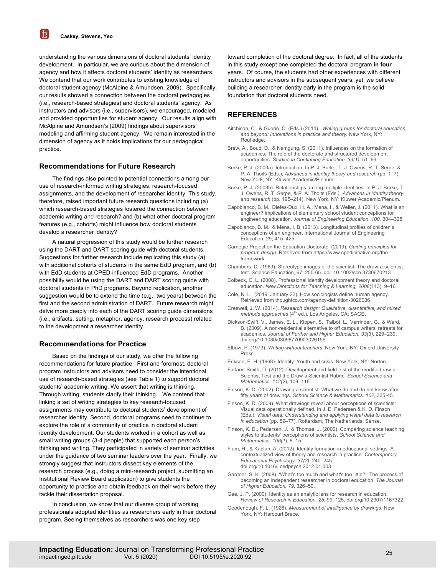电

understanding the various dimensions of doctoral students' identity development. In particular, we are curious about the dimension of agency and how it affects doctoral students' identity as researchers. We contend that our work contributes to existing knowledge of doctoral student agency (McAlpine & Amundsen, 2009). Specifically, our results showed a connection between the doctoral pedagogies (i.e., research-based strategies) and doctoral students' agency. As instructors and advisors (i.e., supervisors), we encouraged, modeled, and provided opportunities for student agency. Our results align with McAlpine and Amundsen's (2009) findings about supervisors' modeling and affirming student agency. We remain interested in the dimension of agency as it holds implications for our pedagogical practice.

# **Recommendations for Future Research**

The findings also pointed to potential connections among our use of research-informed writing strategies, research-focused assignments, and the development of researcher identity. This study, therefore, raised important future research questions including (a) which research-based strategies fostered the connection between academic writing and research? and (b) what other doctoral program features (e.g., cohorts) might influence how doctoral students develop a researcher identity?

A natural progression of this study would be further research using the DART and DART scoring guide with doctoral students. Suggestions for further research include replicating this study (a) with additional cohorts of students in the same EdD program, and (b) with EdD students at CPED-influenced EdD programs. Another possibility would be using the DART and DART scoring guide with doctoral students in PhD programs. Beyond replication, another suggestion would be to extend the time (e.g., two years) between the first and the second administration of DART. Future research might delve more deeply into each of the DART scoring guide dimensions (i.e., artifacts, setting, metaphor, agency, research process) related to the development a researcher identity.

# **Recommendations for Practice**

Based on the findings of our study, we offer the following recommendations for future practice. First and foremost, doctoral program instructors and advisors need to consider the intentional use of research-based strategies (see Table 1) to support doctoral students' academic writing. We assert that writing is thinking. Through writing, students clarify their thinking. We contend that linking a set of writing strategies to key research-focused assignments may contribute to doctoral students' development of researcher identity. Second, doctoral programs need to continue to explore the role of a community of practice in doctoral student identity development. Our students worked in a cohort as well as small writing groups (3-4 people) that supported each person's thinking and writing. They participated in variety of seminar activities under the guidance of two seminar leaders over the year. Finally, we strongly suggest that instructors dissect key elements of the research process (e.g., doing a mini-research project, submitting an Institutional Review Board application) to give students the opportunity to practice and obtain feedback on their work before they tackle their dissertation proposal.

In conclusion, we know that our diverse group of working professionals adopted identities as researchers early in their doctoral program. Seeing themselves as researchers was one key step

toward completion of the doctoral degree. In fact, all of the students in this study except one completed the doctoral program **in four**  years. Of course, the students had other experiences with different instructors and advisors in the subsequent years; yet, we believe building a researcher identity early in the program is the solid foundation that doctoral students need.

#### **REFERENCES**

- Aitchison, C., & Guerin, C. (Eds.) (2014). *Writing groups for doctoral education and beyond: Innovations in practice and theory.* New York, NY: Routledge.
- Brew, A., Boud, D., & Namgung, S. (2011). Influences on the formation of academics: The role of the doctorate and structured development opportunities. *Studies in Continuing Education, 33(1)*: 51–66.
- Burke, P. J. (2003a). Introduction. In P. J. Burke, T. J. Owens, R. T. Serpe, & P. A. Thoits (Eds.), *Advances in identity theory and research* (pp. 1–7). New York, NY: Kluwer Academic/Plenum.
- Burke, P. J. (2003b). Relationships among multiple identities. In P. J. Burke, T. J. Owens, R. T. Serpe, & P. A. Thoits (Eds*.), Advances in identity theory and research* (pp. 195–214). New York, NY: Kluwer Academic/Plenum.
- Capobianco, B. M., Diefes-Dux, H. A., Mena, I., & Weller, J. (2011). What is an engineer? Implications of elementary school student conceptions for engineering education. *Journal of Engineering Education, 100,* 304–328.
- Capobianco, B. M., & Mena, I. B. (2013). Longitudinal profiles of children's conceptions of an engineer. International Journal of Engineering Education, 29, 415–425.
- Carnegie Project on the Education Doctorate. (2019). *Guiding principles for program design*. Retrieved from https://www.cpedinitiative.org/theframework
- Chambers, D. (1983). Stereotype images of the scientist: The draw-a-scientist test. Science Education, 67, 255-65. doi: 10.1002/sce.3730670213
- Colbeck, C. L. (2008). Professional identity development theory and doctoral education. *New Directions for Teaching & Learning, 2008*(113), 9–16.
- Cole, N. L. (2019, January 22). How sociologists define human agency. Retrieved from thoughtco.com/agency-definition-3026036
- Creswell, J. W. (2014). *Research design: Qualitative, quantitative, and mixed methods approaches* (4<sup>th</sup> ed.). Los Angeles, CA: SAGE.
- Dickson‐Swift, V., James, E. L., Kippen, S., Talbot, L., Verrinder, G., & Ward, B. (2009). A non‐residential alternative to off campus writers' retreats for academics*. Journal of Further and Higher Education, 33(3),* 229–239. doi.org/10.1080/03098770903026156
- Elbow, P. (1973). *Writing without teachers.* New York, NY: Oxford University Press.
- Erikson, E. H. (1968). Identity: Youth and crisis. New York, NY: Norton.
- Farland-Smith, D. (2012). Development and field test of the modified raw-a-Scientist Test and the Draw-a-Scientist Rubric*. School Science and Mathematics, 112(2*), 109–116.
- Finson, K. D. (2002). Drawing a scientist: What we do and do not know after fifty years of drawings. *School Science & Mathematics, 102,* 335-45.
- Finson, K. D. (2009). What drawings reveal about perceptions of scientists: Visual data operationally defined. In J. E. Pedersen & K. D. Finson (Eds.), *Visual data: Understanding and applying visual data to research in education* (pp. 59–77). Rotterdam, The Netherlands: Sense.
- Finson, K. D., Pedersen, J., & Thomas, J. (2006). Comparing science teaching styles to students' perceptions of scientists. *School Science and Mathematics, 106(1*), 8–15.
- Flum, H., & Kaplan, A. (2012). Identity formation in educational settings: A contextualized view of theory and research in practice. *Contemporary Educational Psychology, 37(3)*, 240–245. doi.org/10.1016/j.cedpsych.2012.01.003
- Gardner, S. K. (2008). 'What's too much and what's too little?': The process of becoming an independent researcher in doctoral education. *The Journal of Higher Education, 79*, 326–50.
- Gee, J. P. (2000). Identity as an analytic lens for research in education. *Review of Research in Education, 25*, 99–125. doi.org/10.2307/1167322
- Goodenough, F. L. (1926). *Measurement of intelligence by drawings*. New York, NY: Harcourt Brace.